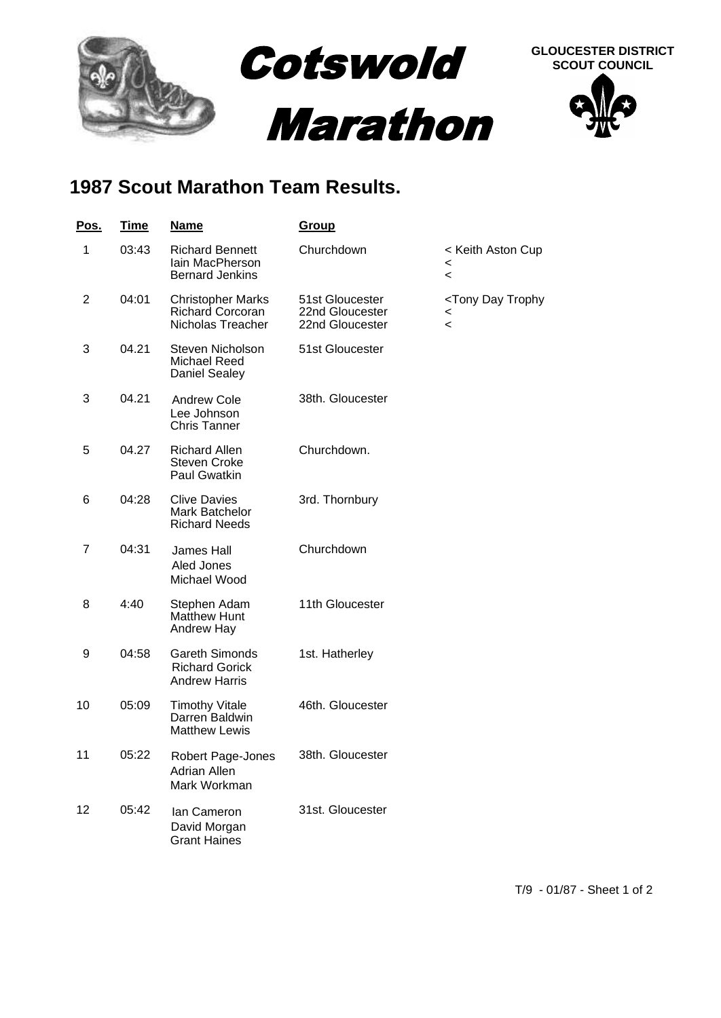

## **1987 Scout Marathon Team Results.**

| <u>Pos.</u>    | <b>Time</b> | <u>Name</u>                                                              | <b>Group</b>                                          |                                                                                                |
|----------------|-------------|--------------------------------------------------------------------------|-------------------------------------------------------|------------------------------------------------------------------------------------------------|
| 1              | 03:43       | <b>Richard Bennett</b><br>lain MacPherson<br><b>Bernard Jenkins</b>      | Churchdown                                            | < Keith Aston Cup<br>$\,<\,$<br>$\,<\,$                                                        |
| $\overline{2}$ | 04:01       | <b>Christopher Marks</b><br><b>Richard Corcoran</b><br>Nicholas Treacher | 51st Gloucester<br>22nd Gloucester<br>22nd Gloucester | <tony day="" trophy<br=""><math>\,&lt;\,</math><br/><math>\overline{\phantom{0}}</math></tony> |
| 3              | 04.21       | Steven Nicholson<br>Michael Reed<br><b>Daniel Sealey</b>                 | 51st Gloucester                                       |                                                                                                |
| 3              | 04.21       | <b>Andrew Cole</b><br>Lee Johnson<br><b>Chris Tanner</b>                 | 38th. Gloucester                                      |                                                                                                |
| 5              | 04.27       | <b>Richard Allen</b><br><b>Steven Croke</b><br>Paul Gwatkin              | Churchdown.                                           |                                                                                                |
| 6              | 04:28       | <b>Clive Davies</b><br>Mark Batchelor<br><b>Richard Needs</b>            | 3rd. Thornbury                                        |                                                                                                |
| 7              | 04:31       | <b>James Hall</b><br>Aled Jones<br>Michael Wood                          | Churchdown                                            |                                                                                                |
| 8              | 4:40        | Stephen Adam<br><b>Matthew Hunt</b><br><b>Andrew Hay</b>                 | 11th Gloucester                                       |                                                                                                |
| 9              | 04:58       | <b>Gareth Simonds</b><br><b>Richard Gorick</b><br><b>Andrew Harris</b>   | 1st. Hatherley                                        |                                                                                                |
| 10             | 05:09       | <b>Timothy Vitale</b><br>Darren Baldwin<br><b>Matthew Lewis</b>          | 46th. Gloucester                                      |                                                                                                |
| 11             | 05:22       | Robert Page-Jones<br><b>Adrian Allen</b><br>Mark Workman                 | 38th. Gloucester                                      |                                                                                                |
| 12             | 05:42       | Ian Cameron<br>David Morgan<br><b>Grant Haines</b>                       | 31st. Gloucester                                      |                                                                                                |